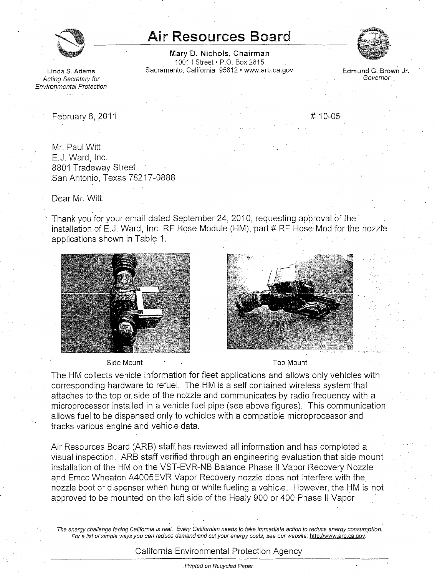

## **Air Resources Board**

**Mary'D. Nichols, Chairman**  1001 I Street• P.O. Box 2815 Linda S. Adams **Sacramento, California 95812 • www.arb.ca.gov** Edmund G. Brown Jr. **Cring Secretary for** 



Acting Secretary for Environmental Protection

February 8, 2011 **#** 10-05

Mr. Paul Witt E.J. Ward, Inc. 8801 Tradeway Street San Antonio, Texas 78217-0888

Dear Mr. Witt:

Thank you for your email dated September 24, 2010, requesting approval of the installation of E.J. Ward, Inc. RF Hose Module (HM), part  $#$  RF Hose Mod for the nozzle applications shown in Table 1.



## Side Mount Top Mount



The HM collects vehicle information for fleet applications and allows only vehicles with corresponding hardware to refuel. The HM is a self contained wireless system that attaches to the top or side of the nozzle and communicates by radio frequency with a microprocessor installed in avehicle fuel pipe (see above figures). This communication allows fuel to be dispensed only to vehicles with a compatible microprocessor and tracks various engine and vehicle data.

Air Resources Board (ARB) staff has reviewed all information and has completed a visual inspection. ARB staff verified through an engineering evaluation that side mount installation of the HM on the VST-EVR-NB Balance Phase II Vapor Recovery Nozzle and Emco Wheaton A4005EVR Vapor Recovery nozzle does not interfere with the nozzle boot or dispenser when hung or while fueling a vehicle. However, the HM is not approved to be mounted on the left side of the Healy 900 or 400 Phase II Vapor

The energy challenge facing California is real. Every Californian needs to take immediate action to reduce energy consumption. For a list of simple ways you can reduce demand and cut your energy costs, see our website: [http://www.arb.ca.qov.](http://www.arb.ca.qov)

California Environmental Protection Agency